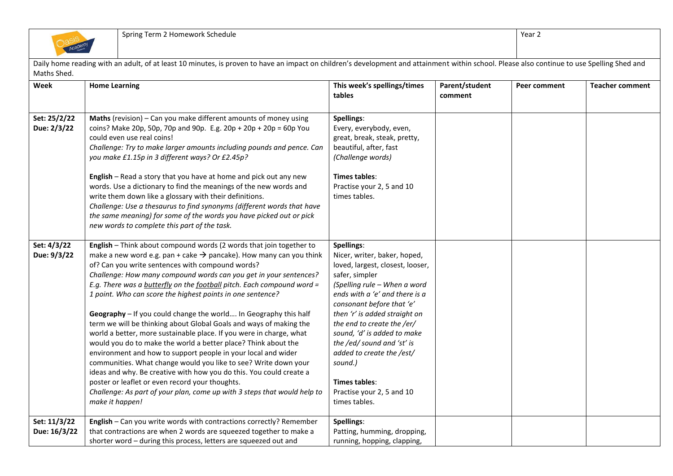| Maths Shed.                  |                                                                                                                                                                                                                                                                                                                                                                                                                                                                                                                                                                                                                                                                                                                                                                                                                                                                                                                                                                                                                                                                        |                                                                                                                                                                                                                                                                                                                                                                                                                                    |                           |              |                        |
|------------------------------|------------------------------------------------------------------------------------------------------------------------------------------------------------------------------------------------------------------------------------------------------------------------------------------------------------------------------------------------------------------------------------------------------------------------------------------------------------------------------------------------------------------------------------------------------------------------------------------------------------------------------------------------------------------------------------------------------------------------------------------------------------------------------------------------------------------------------------------------------------------------------------------------------------------------------------------------------------------------------------------------------------------------------------------------------------------------|------------------------------------------------------------------------------------------------------------------------------------------------------------------------------------------------------------------------------------------------------------------------------------------------------------------------------------------------------------------------------------------------------------------------------------|---------------------------|--------------|------------------------|
| Week                         | <b>Home Learning</b>                                                                                                                                                                                                                                                                                                                                                                                                                                                                                                                                                                                                                                                                                                                                                                                                                                                                                                                                                                                                                                                   | This week's spellings/times<br>tables                                                                                                                                                                                                                                                                                                                                                                                              | Parent/student<br>comment | Peer comment | <b>Teacher comment</b> |
| Set: 25/2/22<br>Due: 2/3/22  | Maths (revision) - Can you make different amounts of money using<br>coins? Make 20p, 50p, 70p and 90p. E.g. $20p + 20p + 20p = 60p$ You<br>could even use real coins!<br>Challenge: Try to make larger amounts including pounds and pence. Can<br>you make £1.15p in 3 different ways? Or £2.45p?<br>English - Read a story that you have at home and pick out any new<br>words. Use a dictionary to find the meanings of the new words and<br>write them down like a glossary with their definitions.<br>Challenge: Use a thesaurus to find synonyms (different words that have<br>the same meaning) for some of the words you have picked out or pick<br>new words to complete this part of the task.                                                                                                                                                                                                                                                                                                                                                                | Spellings:<br>Every, everybody, even,<br>great, break, steak, pretty,<br>beautiful, after, fast<br>(Challenge words)<br><b>Times tables:</b><br>Practise your 2, 5 and 10<br>times tables.                                                                                                                                                                                                                                         |                           |              |                        |
| Set: 4/3/22<br>Due: 9/3/22   | English - Think about compound words (2 words that join together to<br>make a new word e.g. pan + cake $\rightarrow$ pancake). How many can you think<br>of? Can you write sentences with compound words?<br>Challenge: How many compound words can you get in your sentences?<br>E.g. There was a butterfly on the football pitch. Each compound word =<br>1 point. Who can score the highest points in one sentence?<br>Geography - If you could change the world In Geography this half<br>term we will be thinking about Global Goals and ways of making the<br>world a better, more sustainable place. If you were in charge, what<br>would you do to make the world a better place? Think about the<br>environment and how to support people in your local and wider<br>communities. What change would you like to see? Write down your<br>ideas and why. Be creative with how you do this. You could create a<br>poster or leaflet or even record your thoughts.<br>Challenge: As part of your plan, come up with 3 steps that would help to<br>make it happen! | Spellings:<br>Nicer, writer, baker, hoped,<br>loved, largest, closest, looser,<br>safer, simpler<br>(Spelling rule - When a word<br>ends with a 'e' and there is a<br>consonant before that 'e'<br>then 'r' is added straight on<br>the end to create the /er/<br>sound, 'd' is added to make<br>the /ed/ sound and 'st' is<br>added to create the /est/<br>sound.)<br>Times tables:<br>Practise your 2, 5 and 10<br>times tables. |                           |              |                        |
| Set: 11/3/22<br>Due: 16/3/22 | English - Can you write words with contractions correctly? Remember<br>that contractions are when 2 words are squeezed together to make a<br>shorter word - during this process, letters are squeezed out and                                                                                                                                                                                                                                                                                                                                                                                                                                                                                                                                                                                                                                                                                                                                                                                                                                                          | Spellings:<br>Patting, humming, dropping,<br>running, hopping, clapping,                                                                                                                                                                                                                                                                                                                                                           |                           |              |                        |

Daily home reading with an adult, of at least 10 minutes, is proven to have an impact on children's development and attainment within school. Please also continue to use Spelling Shed and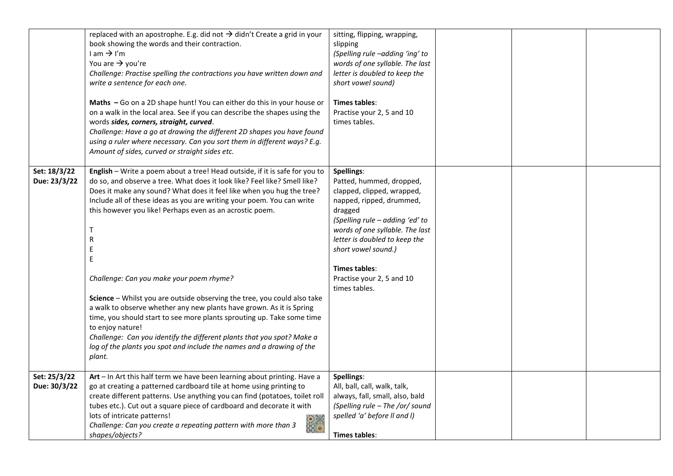|                              | replaced with an apostrophe. E.g. did not $\rightarrow$ didn't Create a grid in your<br>book showing the words and their contraction.<br>$l$ am $\rightarrow$ I'm<br>You are $\rightarrow$ you're<br>Challenge: Practise spelling the contractions you have written down and<br>write a sentence for each one.<br>Maths - Go on a 2D shape hunt! You can either do this in your house or<br>on a walk in the local area. See if you can describe the shapes using the<br>words sides, corners, straight, curved.<br>Challenge: Have a go at drawing the different 2D shapes you have found<br>using a ruler where necessary. Can you sort them in different ways? E.g.<br>Amount of sides, curved or straight sides etc.                                                                                                                               | sitting, flipping, wrapping,<br>slipping<br>(Spelling rule -adding 'ing' to<br>words of one syllable. The last<br>letter is doubled to keep the<br>short vowel sound)<br>Times tables:<br>Practise your 2, 5 and 10<br>times tables.                                                                            |  |  |
|------------------------------|--------------------------------------------------------------------------------------------------------------------------------------------------------------------------------------------------------------------------------------------------------------------------------------------------------------------------------------------------------------------------------------------------------------------------------------------------------------------------------------------------------------------------------------------------------------------------------------------------------------------------------------------------------------------------------------------------------------------------------------------------------------------------------------------------------------------------------------------------------|-----------------------------------------------------------------------------------------------------------------------------------------------------------------------------------------------------------------------------------------------------------------------------------------------------------------|--|--|
| Set: 18/3/22<br>Due: 23/3/22 | English - Write a poem about a tree! Head outside, if it is safe for you to<br>do so, and observe a tree. What does it look like? Feel like? Smell like?<br>Does it make any sound? What does it feel like when you hug the tree?<br>Include all of these ideas as you are writing your poem. You can write<br>this however you like! Perhaps even as an acrostic poem.<br>Т<br>R<br>E<br>E<br>Challenge: Can you make your poem rhyme?<br>Science - Whilst you are outside observing the tree, you could also take<br>a walk to observe whether any new plants have grown. As it is Spring<br>time, you should start to see more plants sprouting up. Take some time<br>to enjoy nature!<br>Challenge: Can you identify the different plants that you spot? Make a<br>log of the plants you spot and include the names and a drawing of the<br>plant. | Spellings:<br>Patted, hummed, dropped,<br>clapped, clipped, wrapped,<br>napped, ripped, drummed,<br>dragged<br>(Spelling rule - adding 'ed' to<br>words of one syllable. The last<br>letter is doubled to keep the<br>short vowel sound.)<br><b>Times tables:</b><br>Practise your 2, 5 and 10<br>times tables. |  |  |
| Set: 25/3/22<br>Due: 30/3/22 | Art - In Art this half term we have been learning about printing. Have a<br>go at creating a patterned cardboard tile at home using printing to<br>create different patterns. Use anything you can find (potatoes, toilet roll<br>tubes etc.). Cut out a square piece of cardboard and decorate it with<br>lots of intricate patterns!<br>$rac{1}{2}$<br>Challenge: Can you create a repeating pattern with more than 3<br>shapes/objects?                                                                                                                                                                                                                                                                                                                                                                                                             | Spellings:<br>All, ball, call, walk, talk,<br>always, fall, small, also, bald<br>(Spelling rule - The /or/ sound<br>spelled 'a' before II and I)<br>Times tables:                                                                                                                                               |  |  |